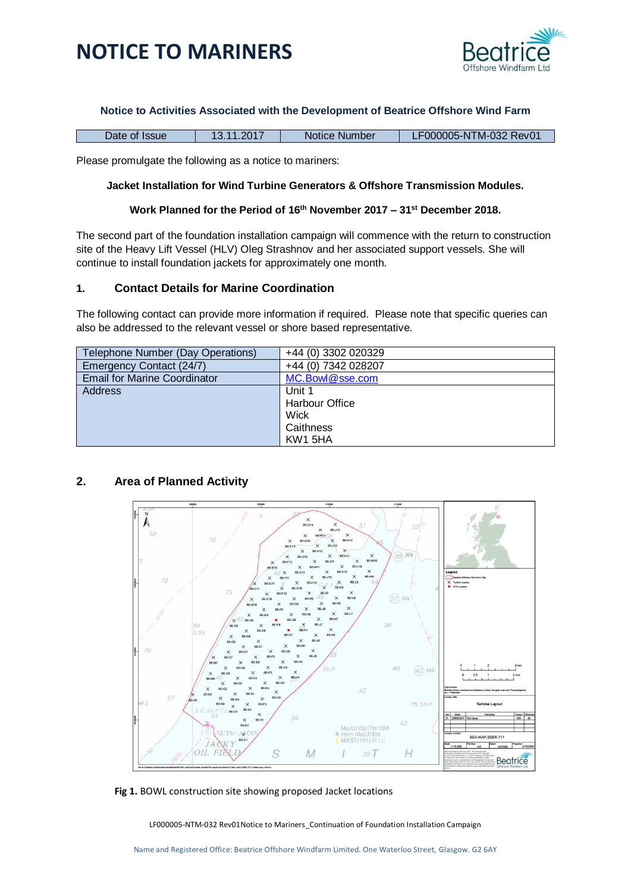

### **Notice to Activities Associated with the Development of Beatrice Offshore Wind Farm**

| Date of Issue | 13.11.2017 | Notice Number | LF000005-NTM-032 Rev01 |
|---------------|------------|---------------|------------------------|
|               |            |               |                        |

Please promulgate the following as a notice to mariners:

### **Jacket Installation for Wind Turbine Generators & Offshore Transmission Modules.**

### **Work Planned for the Period of 16th November 2017 – 31st December 2018.**

The second part of the foundation installation campaign will commence with the return to construction site of the Heavy Lift Vessel (HLV) Oleg Strashnov and her associated support vessels. She will continue to install foundation jackets for approximately one month.

## **1. Contact Details for Marine Coordination**

The following contact can provide more information if required. Please note that specific queries can also be addressed to the relevant vessel or shore based representative.

| Telephone Number (Day Operations)   | +44 (0) 3302 020329 |
|-------------------------------------|---------------------|
| Emergency Contact (24/7)            | +44 (0) 7342 028207 |
| <b>Email for Marine Coordinator</b> | MC.Bowl@sse.com     |
| <b>Address</b>                      | Unit 1              |
|                                     | Harbour Office      |
|                                     | Wick                |
|                                     | Caithness           |
|                                     | KW1 5HA             |

## **2. Area of Planned Activity**



**Fig 1.** BOWL construction site showing proposed Jacket locations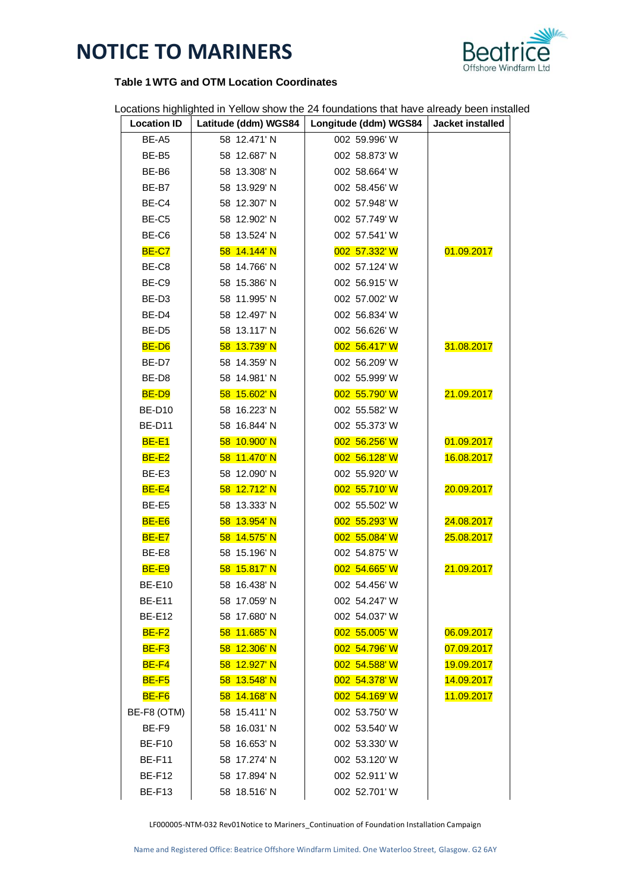

## **Table 1WTG and OTM Location Coordinates**

Locations highlighted in Yellow show the 24 foundations that have already been installed

| <b>Location ID</b> | Latitude (ddm) WGS84 | Longitude (ddm) WGS84 | Jacket installed |
|--------------------|----------------------|-----------------------|------------------|
| BE-A5              | 58 12.471' N         | 002 59.996' W         |                  |
| BE-B5              | 58 12.687' N         | 002 58.873' W         |                  |
| BE-B6              | 58 13.308' N         | 002 58.664' W         |                  |
| BE-B7              | 58 13.929' N         | 002 58.456' W         |                  |
| BE-C4              | 58 12.307' N         | 002 57.948' W         |                  |
| BE-C5              | 58 12.902' N         | 002 57.749' W         |                  |
| BE-C6              | 58 13.524' N         | 002 57.541' W         |                  |
| <b>BE-C7</b>       | 58 14.144' N         | 002 57.332' W         | 01.09.2017       |
| BE-C8              | 58 14.766' N         | 002 57.124' W         |                  |
| BE-C9              | 58 15.386' N         | 002 56.915' W         |                  |
| BE-D3              | 58 11.995' N         | 002 57.002' W         |                  |
| BE-D4              | 58 12.497' N         | 002 56.834' W         |                  |
| BE-D <sub>5</sub>  | 58 13.117' N         | 002 56.626' W         |                  |
| BE-D6              | 58 13.739' N         | 002 56.417' W         | 31.08.2017       |
| BE-D7              | 58 14.359' N         | 002 56.209' W         |                  |
| BE-D8              | 58 14.981' N         | 002 55.999' W         |                  |
| BE-D9              | 58 15.602' N         | 002 55.790' W         | 21.09.2017       |
| <b>BE-D10</b>      | 58 16.223' N         | 002 55.582' W         |                  |
| <b>BE-D11</b>      | 58 16.844' N         | 002 55.373' W         |                  |
| <b>BE-E1</b>       | 58 10.900'N          | 002 56.256' W         | 01.09.2017       |
| $BE-E2$            | 58 11.470'N          | 002 56.128' W         | 16.08.2017       |
| BE-E3              | 58 12.090' N         | 002 55.920' W         |                  |
| $BE-E4$            | 58 12.712' N         | 002 55.710' W         | 20.09.2017       |
| BE-E5              | 58 13.333' N         | 002 55.502' W         |                  |
| BE-E6              | 58 13.954' N         | 002 55.293' W         | 24.08.2017       |
| <b>BE-E7</b>       | 58 14.575' N         | 002 55.084' W         | 25.08.2017       |
| BE-E8              | 58 15.196' N         | 002 54.875' W         |                  |
| $BE-E9$            | 58 15.817' N         | 002 54.665' W         | 21.09.2017       |
| <b>BE-E10</b>      | 58 16.438' N         | 002 54.456' W         |                  |
| <b>BE-E11</b>      | 58 17.059' N         | 002 54.247' W         |                  |
| <b>BE-E12</b>      | 58 17.680' N         | 002 54.037' W         |                  |
| $BE-F2$            | 58 11.685' N         | 002 55.005' W         | 06.09.2017       |
| $BE-F3$            | 58 12.306' N         | 002 54.796' W         | 07.09.2017       |
| <b>BE-F4</b>       | 58 12.927' N         | 002 54.588' W         | 19.09.2017       |
| <b>BE-F5</b>       | 58 13.548' N         | 002 54.378' W         | 14.09.2017       |
| BE-F6              | 58 14.168' N         | 002 54.169' W         | 11.09.2017       |
| BE-F8 (OTM)        | 58 15.411' N         | 002 53.750' W         |                  |
| BE-F9              | 58 16.031' N         | 002 53.540' W         |                  |
| <b>BE-F10</b>      | 58 16.653' N         | 002 53.330' W         |                  |
| <b>BE-F11</b>      | 58 17.274' N         | 002 53.120' W         |                  |
| <b>BE-F12</b>      | 58 17.894' N         | 002 52.911' W         |                  |
| <b>BE-F13</b>      | 58 18.516' N         | 002 52.701' W         |                  |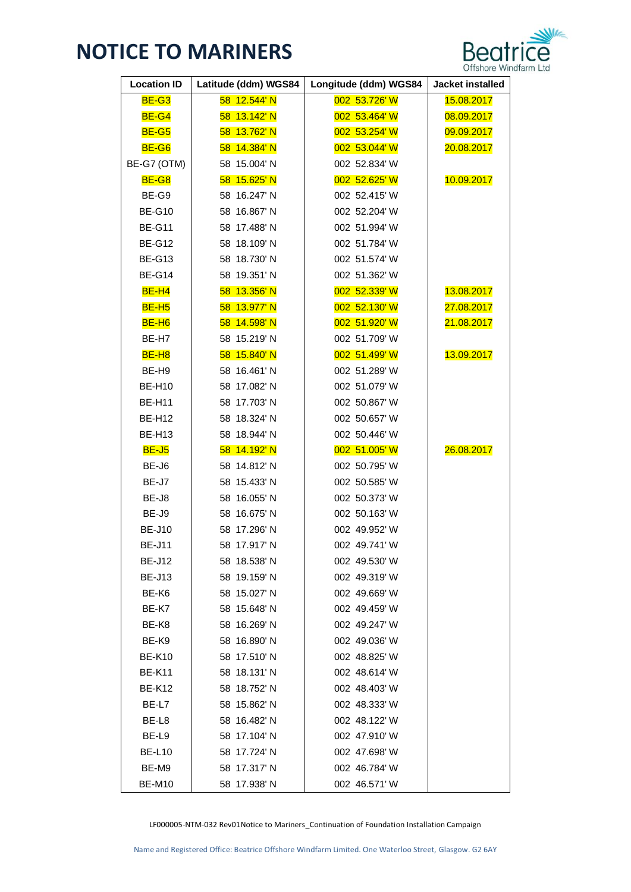

| <b>Location ID</b> | Latitude (ddm) WGS84 | Longitude (ddm) WGS84 | Jacket installed |
|--------------------|----------------------|-----------------------|------------------|
| <b>BE-G3</b>       | 58 12.544' N         | 002 53.726' W         | 15.08.2017       |
| <b>BE-G4</b>       | 58 13.142' N         | 002 53.464' W         | 08.09.2017       |
| <b>BE-G5</b>       | 58 13.762' N         | 002 53.254' W         | 09.09.2017       |
| BE-G6              | 58 14.384' N         | 002 53.044' W         | 20.08.2017       |
| BE-G7 (OTM)        | 58 15.004' N         | 002 52.834' W         |                  |
| <b>BE-G8</b>       | 58 15.625' N         | 002 52.625' W         | 10.09.2017       |
| BE-G9              | 58 16.247' N         | 002 52.415' W         |                  |
| <b>BE-G10</b>      | 58 16.867' N         | 002 52.204' W         |                  |
| <b>BE-G11</b>      | 58 17.488' N         | 002 51.994' W         |                  |
| <b>BE-G12</b>      | 58 18.109' N         | 002 51.784' W         |                  |
| <b>BE-G13</b>      | 58 18.730' N         | 002 51.574' W         |                  |
| <b>BE-G14</b>      | 58 19.351' N         | 002 51.362' W         |                  |
| $BE-H4$            | 58 13.356' N         | 002 52.339' W         | 13.08.2017       |
| BE-H <sub>5</sub>  | 58 13.977' N         | 002 52.130' W         | 27.08.2017       |
| BE-H <sub>6</sub>  | 58 14.598' N         | 002 51.920' W         | 21.08.2017       |
| BE-H7              | 58 15.219' N         | 002 51.709' W         |                  |
| BE-H <sub>8</sub>  | 58 15.840' N         | 002 51.499' W         | 13.09.2017       |
| BE-H9              | 58 16.461' N         | 002 51.289' W         |                  |
| <b>BE-H10</b>      | 58 17.082' N         | 002 51.079' W         |                  |
| <b>BE-H11</b>      | 58 17.703' N         | 002 50.867' W         |                  |
| <b>BE-H12</b>      | 58 18.324' N         | 002 50.657' W         |                  |
| <b>BE-H13</b>      | 58 18.944' N         | 002 50.446' W         |                  |
| <b>BE-J5</b>       | 58 14.192' N         | 002 51.005' W         | 26.08.2017       |
| BE-J6              | 58 14.812' N         | 002 50.795' W         |                  |
| BE-J7              | 58 15.433' N         | 002 50.585' W         |                  |
| BE-J8              | 58 16.055' N         | 002 50.373' W         |                  |
| BE-J9              | 58 16.675' N         | 002 50.163' W         |                  |
| <b>BE-J10</b>      | 58 17.296' N         | 002 49.952' W         |                  |
| <b>BE-J11</b>      | 58 17.917' N         | 002 49.741'W          |                  |
| <b>BE-J12</b>      | 58 18.538' N         | 002 49.530'W          |                  |
| <b>BE-J13</b>      | 58 19.159' N         | 002 49.319' W         |                  |
| BE-K6              | 58 15.027' N         | 002 49.669' W         |                  |
| BE-K7              | 58 15.648' N         | 002 49.459' W         |                  |
| BE-K8              | 58 16.269' N         | 002 49.247' W         |                  |
| BE-K9              | 58 16.890' N         | 002 49.036' W         |                  |
| <b>BE-K10</b>      | 58 17.510' N         | 002 48.825' W         |                  |
| <b>BE-K11</b>      | 58 18.131' N         | 002 48.614' W         |                  |
| <b>BE-K12</b>      | 58 18.752' N         | 002 48.403' W         |                  |
| BE-L7              | 58 15.862' N         | 002 48.333' W         |                  |
| BE-L8              | 58 16.482' N         | 002 48.122' W         |                  |
| BE-L9              | 58 17.104' N         | 002 47.910'W          |                  |
| <b>BE-L10</b>      | 58 17.724' N         | 002 47.698' W         |                  |
| BE-M9              | 58 17.317' N         | 002 46.784' W         |                  |
| <b>BE-M10</b>      | 58 17.938' N         | 002 46.571'W          |                  |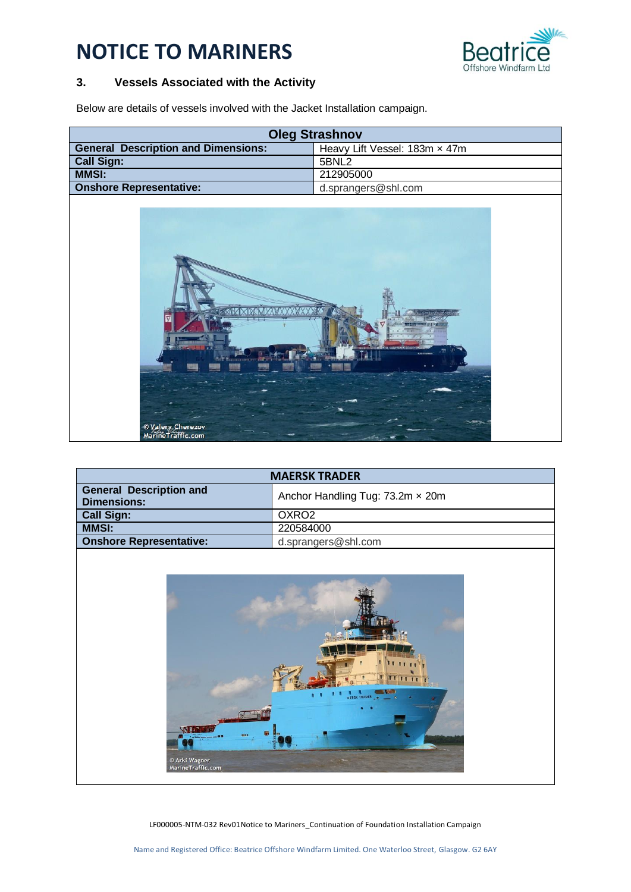

# **3. Vessels Associated with the Activity**

Below are details of vessels involved with the Jacket Installation campaign.

| <b>Oleg Strashnov</b>                                                       |                     |  |
|-----------------------------------------------------------------------------|---------------------|--|
| <b>General Description and Dimensions:</b><br>Heavy Lift Vessel: 183m x 47m |                     |  |
| <b>Call Sign:</b>                                                           | 5BNL2               |  |
| <b>MMSI:</b>                                                                | 212905000           |  |
| <b>Onshore Representative:</b>                                              | d.sprangers@shl.com |  |
| © Valery, Cherezov<br>MarineTraffic.com                                     |                     |  |

| <b>MAERSK TRADER</b>                                 |                                  |  |
|------------------------------------------------------|----------------------------------|--|
| <b>General Description and</b><br><b>Dimensions:</b> | Anchor Handling Tug: 73.2m x 20m |  |
| <b>Call Sign:</b>                                    | OXRO <sub>2</sub>                |  |
| <b>MMSI:</b>                                         | 220584000                        |  |
| <b>Onshore Representative:</b>                       | d.sprangers@shl.com              |  |

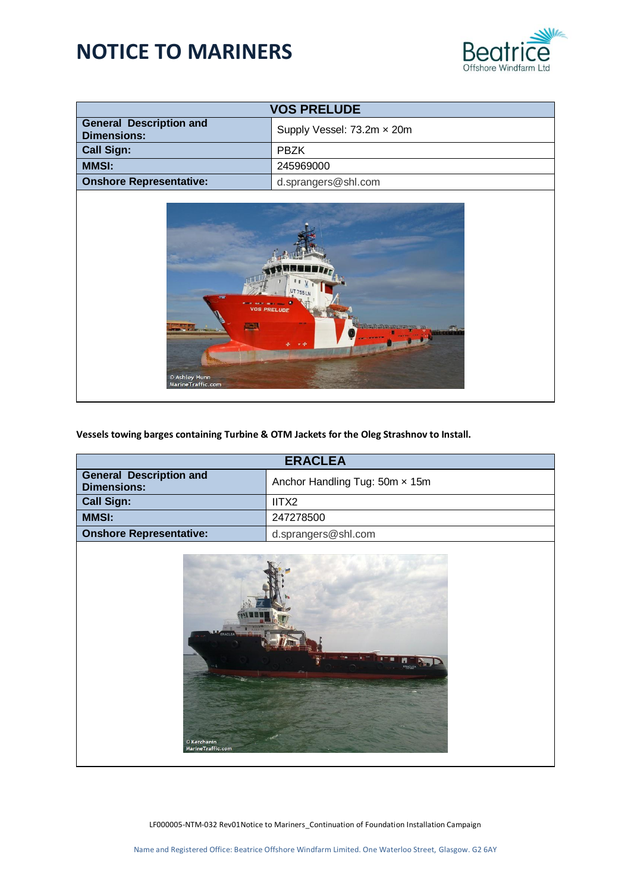

| <b>VOS PRELUDE</b>                                                     |                            |
|------------------------------------------------------------------------|----------------------------|
| <b>General Description and</b><br><b>Dimensions:</b>                   | Supply Vessel: 73.2m x 20m |
| <b>Call Sign:</b>                                                      | <b>PBZK</b>                |
| <b>MMSI:</b>                                                           | 245969000                  |
| <b>Onshore Representative:</b>                                         | d.sprangers@shl.com        |
| UT 755L<br><b>The State</b><br><b>CONTRACTOR</b><br><b>VOS PRELUDE</b> |                            |

**Vessels towing barges containing Turbine & OTM Jackets for the Oleg Strashnov to Install.**

| <b>ERACLEA</b>                                        |                                |  |
|-------------------------------------------------------|--------------------------------|--|
| <b>General Description and</b><br><b>Dimensions:</b>  | Anchor Handling Tug: 50m x 15m |  |
| <b>Call Sign:</b>                                     | IITX2                          |  |
| <b>MMSI:</b>                                          | 247278500                      |  |
| <b>Onshore Representative:</b><br>d.sprangers@shl.com |                                |  |
|                                                       |                                |  |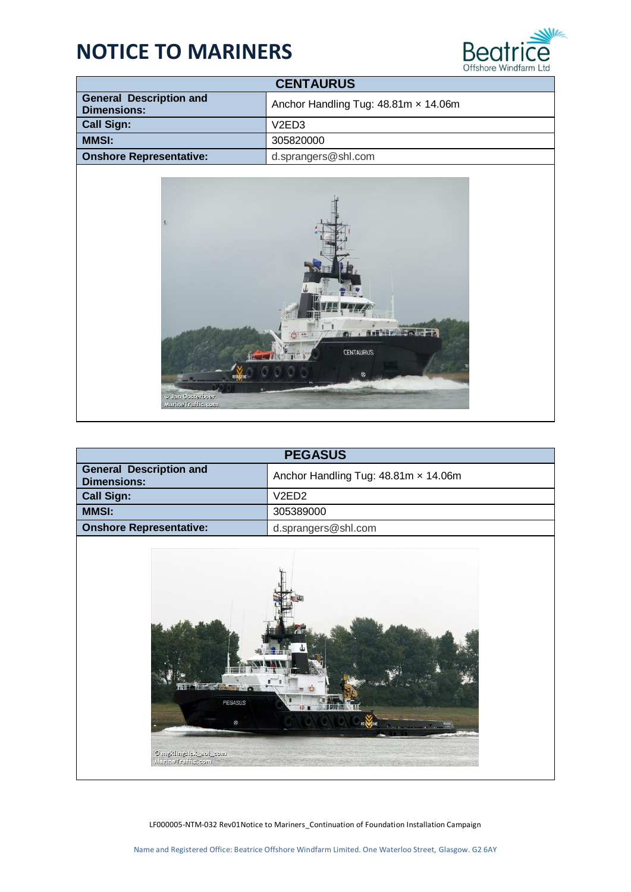

| <b>CENTAURUS</b>                                     |                                      |  |
|------------------------------------------------------|--------------------------------------|--|
| <b>General Description and</b><br><b>Dimensions:</b> | Anchor Handling Tug: 48.81m x 14.06m |  |
| <b>Call Sign:</b>                                    | V <sub>2</sub> ED <sub>3</sub>       |  |
| <b>MMSI:</b>                                         | 305820000                            |  |
| <b>Onshore Representative:</b>                       | d.sprangers@shl.com                  |  |



| <b>PEGASUS</b>                                                                                 |                                      |
|------------------------------------------------------------------------------------------------|--------------------------------------|
| <b>General Description and</b><br><b>Dimensions:</b>                                           | Anchor Handling Tug: 48.81m x 14.06m |
| V <sub>2</sub> ED <sub>2</sub><br><b>Call Sign:</b>                                            |                                      |
| <b>MMSI:</b>                                                                                   | 305389000                            |
| <b>Onshore Representative:</b>                                                                 | d.sprangers@shl.com                  |
| <b>SERVICE</b><br><b>PEGASUS</b><br>$^{\circ}$<br>mee_lea_zlategntlzlgm @<br>MarineTraffic.com |                                      |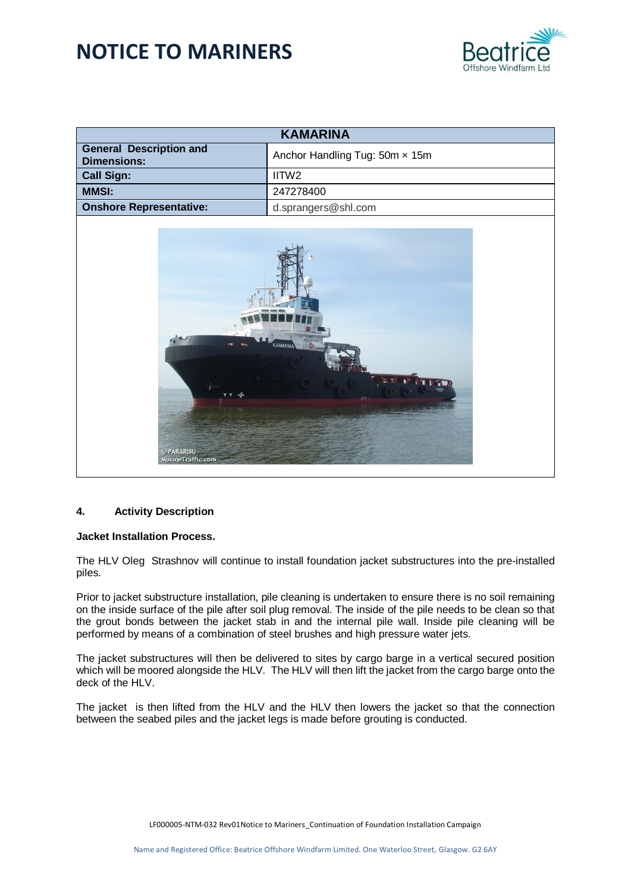

| <b>KAMARINA</b>                                            |                                |  |
|------------------------------------------------------------|--------------------------------|--|
| <b>General Description and</b><br><b>Dimensions:</b>       | Anchor Handling Tug: 50m x 15m |  |
| <b>Call Sign:</b><br>IITW2                                 |                                |  |
| <b>MMSI:</b><br>247278400                                  |                                |  |
| <b>Onshore Representative:</b><br>d.sprangers@shl.com      |                                |  |
| <b>KAMARINA</b><br>$\mathbf{R}^{\mathbf{c}}$<br>© PARARISU |                                |  |

#### **4. Activity Description**

#### **Jacket Installation Process.**

The HLV Oleg Strashnov will continue to install foundation jacket substructures into the pre-installed piles.

Prior to jacket substructure installation, pile cleaning is undertaken to ensure there is no soil remaining on the inside surface of the pile after soil plug removal. The inside of the pile needs to be clean so that the grout bonds between the jacket stab in and the internal pile wall. Inside pile cleaning will be performed by means of a combination of steel brushes and high pressure water jets.

The jacket substructures will then be delivered to sites by cargo barge in a vertical secured position which will be moored alongside the HLV. The HLV will then lift the jacket from the cargo barge onto the deck of the HLV.

The jacket is then lifted from the HLV and the HLV then lowers the jacket so that the connection between the seabed piles and the jacket legs is made before grouting is conducted.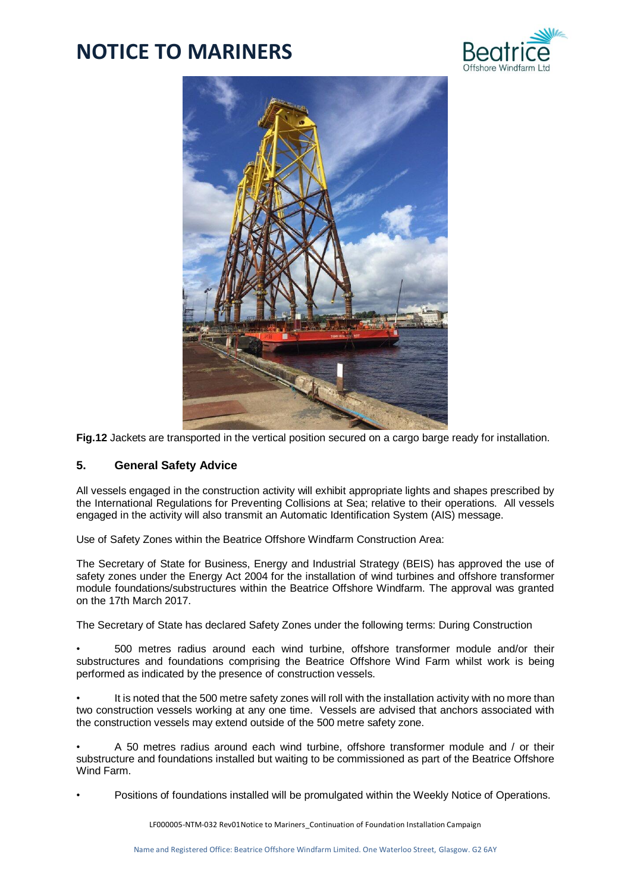



**Fig.12** Jackets are transported in the vertical position secured on a cargo barge ready for installation.

## **5. General Safety Advice**

All vessels engaged in the construction activity will exhibit appropriate lights and shapes prescribed by the International Regulations for Preventing Collisions at Sea; relative to their operations. All vessels engaged in the activity will also transmit an Automatic Identification System (AIS) message.

Use of Safety Zones within the Beatrice Offshore Windfarm Construction Area:

The Secretary of State for Business, Energy and Industrial Strategy (BEIS) has approved the use of safety zones under the Energy Act 2004 for the installation of wind turbines and offshore transformer module foundations/substructures within the Beatrice Offshore Windfarm. The approval was granted on the 17th March 2017.

The Secretary of State has declared Safety Zones under the following terms: During Construction

• 500 metres radius around each wind turbine, offshore transformer module and/or their substructures and foundations comprising the Beatrice Offshore Wind Farm whilst work is being performed as indicated by the presence of construction vessels.

It is noted that the 500 metre safety zones will roll with the installation activity with no more than two construction vessels working at any one time. Vessels are advised that anchors associated with the construction vessels may extend outside of the 500 metre safety zone.

• A 50 metres radius around each wind turbine, offshore transformer module and / or their substructure and foundations installed but waiting to be commissioned as part of the Beatrice Offshore Wind Farm.

• Positions of foundations installed will be promulgated within the Weekly Notice of Operations.